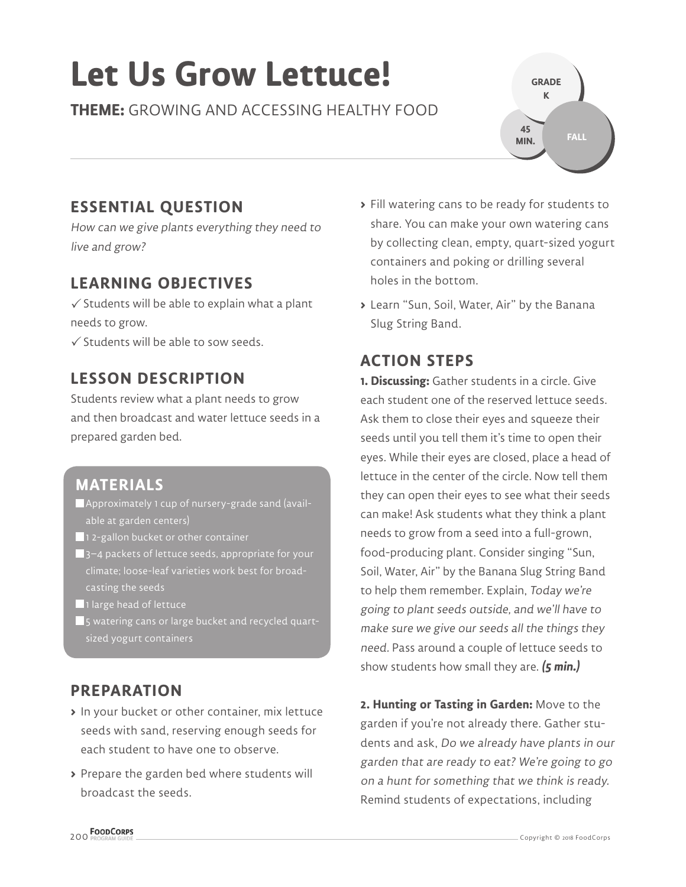# **Let Us Grow Lettuce!**

**THEME:** GROWING AND ACCESSING HEALTHY FOOD

# **ESSENTIAL QUESTION**

How can we give plants everything they need to live and grow?

### **LEARNING OBJECTIVES**

 $\checkmark$  Students will be able to explain what a plant needs to grow.

 $\checkmark$  Students will be able to sow seeds.

## **LESSON DESCRIPTION**

Students review what a plant needs to grow and then broadcast and water lettuce seeds in a prepared garden bed.

#### **MATERIALS**

- Approximately 1 cup of nursery-grade sand (available at garden centers)
- 1 2-gallon bucket or other container
- 3–4 packets of lettuce seeds, appropriate for your climate; loose-leaf varieties work best for broadcasting the seeds
- **1** large head of lettuce
- $\blacksquare$  5 watering cans or large bucket and recycled quartsized yogurt containers

### **PREPARATION**

- **>** In your bucket or other container, mix lettuce seeds with sand, reserving enough seeds for each student to have one to observe.
- **>** Prepare the garden bed where students will broadcast the seeds.

**>** Fill watering cans to be ready for students to share. You can make your own watering cans by collecting clean, empty, quart-sized yogurt containers and poking or drilling several holes in the bottom.

**GRADE K**

**45 MIN.**

**FALL**

**>** Learn "Sun, Soil, Water, Air" by the Banana Slug String Band.

#### **ACTION STEPS**

**1. Discussing:** Gather students in a circle. Give each student one of the reserved lettuce seeds. Ask them to close their eyes and squeeze their seeds until you tell them it's time to open their eyes. While their eyes are closed, place a head of lettuce in the center of the circle. Now tell them they can open their eyes to see what their seeds can make! Ask students what they think a plant needs to grow from a seed into a full-grown, food-producing plant. Consider singing "Sun, Soil, Water, Air" by the Banana Slug String Band to help them remember. Explain, Today we're going to plant seeds outside, and we'll have to make sure we give our seeds all the things they need. Pass around a couple of lettuce seeds to show students how small they are. **(5 min.)**

**2. Hunting or Tasting in Garden:** Move to the garden if you're not already there. Gather students and ask, Do we already have plants in our garden that are ready to eat? We're going to go on a hunt for something that we think is ready. Remind students of expectations, including

**FOODCORPS**<br>200 PROGRAM GUIDE